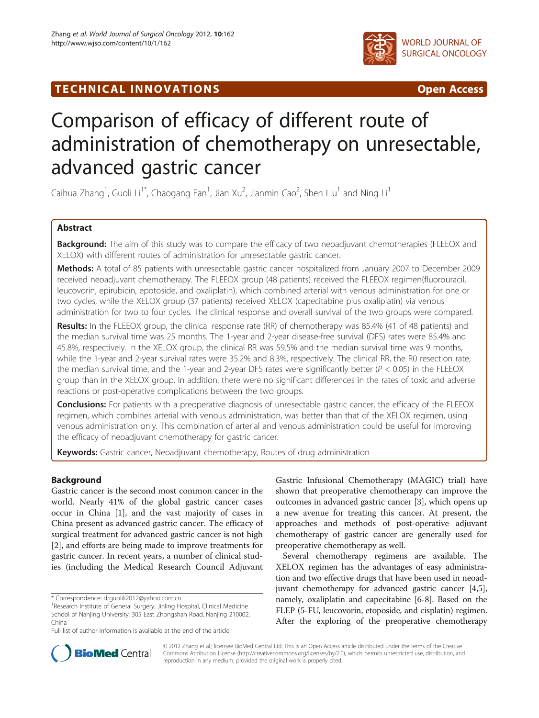

WORLD JOURNAL OF SURGICAL ONCOLOGY

TECHNICAL INNOVATIONS **STATES AND SERVICE SERVICES** Open Access

# Comparison of efficacy of different route of administration of chemotherapy on unresectable, advanced gastric cancer

Caihua Zhang<sup>1</sup>, Guoli Li<sup>1\*</sup>, Chaogang Fan<sup>1</sup>, Jian Xu<sup>2</sup>, Jianmin Cao<sup>2</sup>, Shen Liu<sup>1</sup> and Ning Li<sup>1</sup>

# Abstract

Background: The aim of this study was to compare the efficacy of two neoadjuvant chemotherapies (FLEEOX and XELOX) with different routes of administration for unresectable gastric cancer.

Methods: A total of 85 patients with unresectable gastric cancer hospitalized from January 2007 to December 2009 received neoadjuvant chemotherapy. The FLEEOX group (48 patients) received the FLEEOX regimen(fluorouracil, leucovorin, [epirubicin](http://ukpmc.ac.uk/abstract/MED/20021910/?whatizit_url_Chemicals=http://www.ebi.ac.uk/chebi/searchId.do?chebiId=CHEBI%3A47898), epotoside, and oxaliplatin), which combined arterial with venous administration for one or two cycles, while the XELOX group (37 patients) received XELOX (capecitabine plus oxaliplatin) via venous administration for two to four cycles. The clinical response and overall survival of the two groups were compared.

Results: In the FLEEOX group, the clinical response rate (RR) of chemotherapy was 85.4% (41 of 48 patients) and the median survival time was 25 months. The 1-year and 2-year disease-free survival (DFS) rates were 85.4% and 45.8%, respectively. In the XELOX group, the clinical RR was 59.5% and the median survival time was 9 months, while the 1-year and 2-year survival rates were 35.2% and 8.3%, respectively. The clinical RR, the R0 resection rate, the median survival time, and the 1-year and 2-year DFS rates were significantly better ( $P < 0.05$ ) in the FLEEOX group than in the XELOX group. In addition, there were no significant differences in the rates of toxic and adverse reactions or post-operative complications between the two groups.

**Conclusions:** For patients with a preoperative diagnosis of unresectable gastric cancer, the efficacy of the FLEEOX regimen, which combines arterial with venous administration, was better than that of the XELOX regimen, using venous administration only. This combination of arterial and venous administration could be useful for improving the efficacy of neoadjuvant chemotherapy for gastric cancer.

Keywords: Gastric cancer, Neoadjuvant chemotherapy, Routes of drug administration

# Background

Gastric cancer is the second most common cancer in the world. Nearly 41% of the global gastric cancer cases occur in China [\[1](#page-6-0)], and the vast majority of cases in China present as advanced gastric cancer. The efficacy of surgical treatment for advanced gastric cancer is not high [[2\]](#page-6-0), and efforts are being made to improve treatments for gastric cancer. In recent years, a number of clinical studies (including the Medical Research Council Adjuvant

\* Correspondence: [drguolili2012@yahoo.com.cn](mailto:drguolili2012@yahoo.com.cn) <sup>1</sup>

Gastric Infusional Chemotherapy (MAGIC) trial) have shown that preoperative chemotherapy can improve the outcomes in advanced gastric cancer [[3\]](#page-6-0), which opens up a new avenue for treating this cancer. At present, the approaches and methods of post-operative adjuvant chemotherapy of gastric cancer are generally used for preoperative chemotherapy as well.

Several chemotherapy regimens are available. The XELOX regimen has the advantages of easy administration and two effective drugs that have been used in neoadjuvant chemotherapy for advanced gastric cancer [[4,5](#page-6-0)], namely, oxaliplatin and capecitabine [\[6](#page-6-0)-[8](#page-6-0)]. Based on the FLEP (5-FU, leucovorin, etoposide, and cisplatin) regimen. After the exploring of the preoperative chemotherapy



© 2012 Zhang et al.; licensee BioMed Central Ltd. This is an Open Access article distributed under the terms of the Creative Commons Attribution License [\(http://creativecommons.org/licenses/by/2.0\)](http://creativecommons.org/licenses/by/2.0), which permits unrestricted use, distribution, and reproduction in any medium, provided the original work is properly cited.

<sup>&</sup>lt;sup>1</sup>Research Institute of General Surgery, Jinling Hospital, Clinical Medicine School of Nanjing University, 305 East Zhongshan Road, Nanjing 210002, China

Full list of author information is available at the end of the article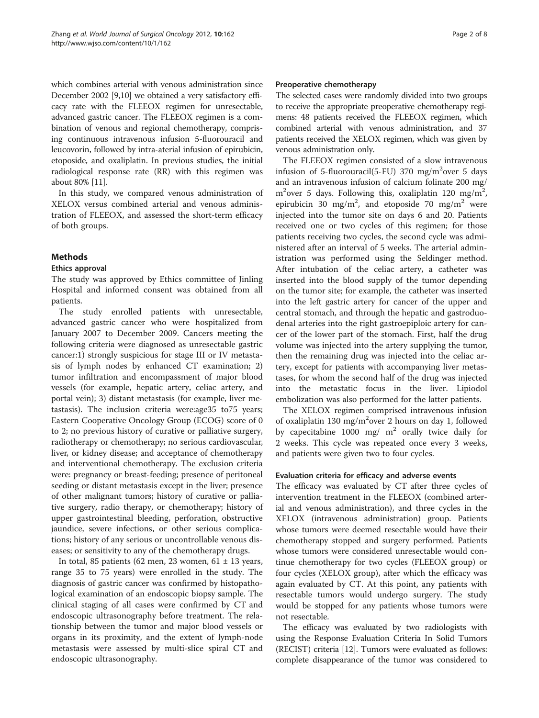which combines arterial with venous administration since December 2002 [\[9](#page-6-0)[,10\]](#page-7-0) we obtained a very satisfactory efficacy rate with the FLEEOX regimen for unresectable, advanced gastric cancer. The FLEEOX regimen is a combination of venous and regional chemotherapy, comprising continuous intravenous infusion 5-fluorouracil and leucovorin, followed by intra-aterial infusion of epirubicin, etoposide, and oxaliplatin. In previous studies, the initial radiological response rate (RR) with this regimen was about 80% [\[11\]](#page-7-0).

In this study, we compared venous administration of XELOX versus combined arterial and venous administration of FLEEOX, and assessed the short-term efficacy of both groups.

# **Methods**

# Ethics approval

The study was approved by Ethics committee of Jinling Hospital and informed consent was obtained from all patients.

The study enrolled patients with unresectable, advanced gastric cancer who were hospitalized from January 2007 to December 2009. Cancers meeting the following criteria were diagnosed as unresectable gastric cancer:1) strongly suspicious for stage III or IV metastasis of lymph nodes by enhanced CT examination; 2) tumor infiltration and encompassment of major blood vessels (for example, hepatic artery, celiac artery, and portal vein); 3) distant metastasis (for example, liver metastasis). The inclusion criteria were:age35 to75 years; Eastern Cooperative Oncology Group (ECOG) score of 0 to 2; no previous history of curative or palliative surgery, radiotherapy or chemotherapy; no serious cardiovascular, liver, or kidney disease; and acceptance of chemotherapy and interventional chemotherapy. The exclusion criteria were: pregnancy or breast-feeding; presence of peritoneal seeding or distant metastasis except in the liver; presence of other malignant tumors; history of curative or palliative surgery, radio therapy, or chemotherapy; history of upper gastrointestinal bleeding, perforation, obstructive jaundice, severe infections, or other serious complications; history of any serious or uncontrollable venous diseases; or sensitivity to any of the chemotherapy drugs.

In total, 85 patients (62 men, 23 women, 61  $\pm$  13 years, range 35 to 75 years) were enrolled in the study. The diagnosis of gastric cancer was confirmed by histopathological examination of an endoscopic biopsy sample. The clinical staging of all cases were confirmed by CT and endoscopic ultrasonography before treatment. The relationship between the tumor and major blood vessels or organs in its proximity, and the extent of lymph-node metastasis were assessed by multi-slice spiral CT and endoscopic ultrasonography.

# Preoperative chemotherapy

The selected cases were randomly divided into two groups to receive the appropriate preoperative chemotherapy regimens: 48 patients received the FLEEOX regimen, which combined arterial with venous administration, and 37 patients received the XELOX regimen, which was given by venous administration only.

The FLEEOX regimen consisted of a slow intravenous infusion of 5-fluorouracil(5-FU) 370 mg/m<sup>2</sup>over 5 days and an intravenous infusion of calcium folinate 200 mg/ m<sup>2</sup>over 5 days. Following this, oxaliplatin 120 mg/m<sup>2</sup>, epirubicin 30 mg/m<sup>2</sup>, and etoposide 70 mg/m<sup>2</sup> were injected into the tumor site on days 6 and 20. Patients received one or two cycles of this regimen; for those patients receiving two cycles, the second cycle was administered after an interval of 5 weeks. The arterial administration was performed using the Seldinger method. After intubation of the celiac artery, a catheter was inserted into the blood supply of the tumor depending on the tumor site; for example, the catheter was inserted into the left gastric artery for cancer of the upper and central stomach, and through the hepatic and gastroduodenal arteries into the right gastroepiploic artery for cancer of the lower part of the stomach. First, half the drug volume was injected into the artery supplying the tumor, then the remaining drug was injected into the celiac artery, except for patients with accompanying liver metastases, for whom the second half of the drug was injected into the metastatic focus in the liver. Lipiodol embolization was also performed for the latter patients.

The XELOX regimen comprised intravenous infusion of oxaliplatin 130 mg/m<sup>2</sup>over 2 hours on day 1, followed by capecitabine 1000 mg/ $m^2$  orally twice daily for 2 weeks. This cycle was repeated once every 3 weeks, and patients were given two to four cycles.

# Evaluation criteria for efficacy and adverse events

The efficacy was evaluated by CT after three cycles of intervention treatment in the FLEEOX (combined arterial and venous administration), and three cycles in the XELOX (intravenous administration) group. Patients whose tumors were deemed resectable would have their chemotherapy stopped and surgery performed. Patients whose tumors were considered unresectable would continue chemotherapy for two cycles (FLEEOX group) or four cycles (XELOX group), after which the efficacy was again evaluated by CT. At this point, any patients with resectable tumors would undergo surgery. The study would be stopped for any patients whose tumors were not resectable.

The efficacy was evaluated by two radiologists with using the Response Evaluation Criteria In Solid Tumors (RECIST) criteria [[12\]](#page-7-0). Tumors were evaluated as follows: complete disappearance of the tumor was considered to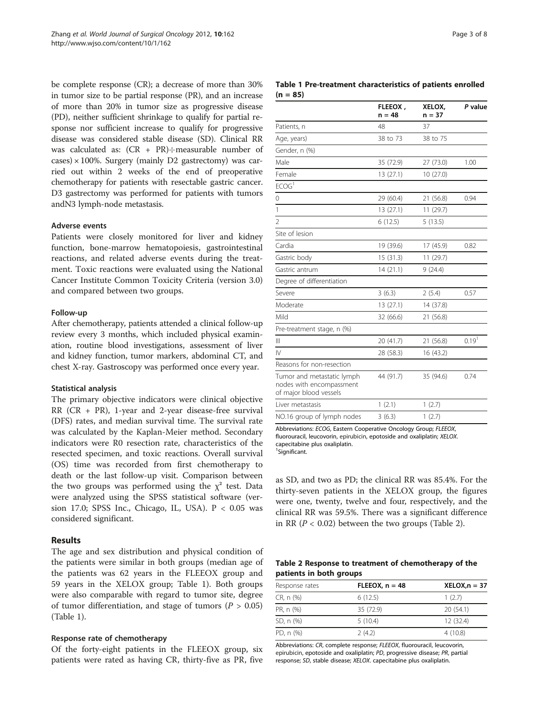be complete response (CR); a decrease of more than 30% in tumor size to be partial response (PR), and an increase of more than 20% in tumor size as progressive disease (PD), neither sufficient shrinkage to qualify for partial response nor sufficient increase to qualify for progressive disease was considered stable disease (SD). Clinical RR was calculated as:  $(CR + PR) \div \text{measurable number of}$  $\cos(100\% \cdot \text{Surgery})$  (mainly D2 gastrectomy) was carried out within 2 weeks of the end of preoperative chemotherapy for patients with resectable gastric cancer. D3 gastrectomy was performed for patients with tumors andN3 lymph-node metastasis.

#### Adverse events

Patients were closely monitored for liver and kidney function, bone-marrow hematopoiesis, gastrointestinal reactions, and related adverse events during the treatment. Toxic reactions were evaluated using the National Cancer Institute Common Toxicity Criteria (version 3.0) and compared between two groups.

#### Follow-up

After chemotherapy, patients attended a clinical follow-up review every 3 months, which included physical examination, routine blood investigations, assessment of liver and kidney function, tumor markers, abdominal CT, and chest X-ray. Gastroscopy was performed once every year.

#### Statistical analysis

The primary objective indicators were clinical objective RR (CR + PR), 1-year and 2-year disease-free survival (DFS) rates, and median survival time. The survival rate was calculated by the Kaplan-Meier method. Secondary indicators were R0 resection rate, characteristics of the resected specimen, and toxic reactions. Overall survival (OS) time was recorded from first chemotherapy to death or the last follow-up visit. Comparison between the two groups was performed using the  $\chi^2$  test. Data were analyzed using the SPSS statistical software (version 17.0; SPSS Inc., Chicago, IL, USA).  $P < 0.05$  was considered significant.

### Results

The age and sex distribution and physical condition of the patients were similar in both groups (median age of the patients was 62 years in the FLEEOX group and 59 years in the XELOX group; Table 1). Both groups were also comparable with regard to tumor site, degree of tumor differentiation, and stage of tumors ( $P > 0.05$ ) (Table 1).

#### Response rate of chemotherapy

Of the forty-eight patients in the FLEEOX group, six patients were rated as having CR, thirty-five as PR, five

| Table 1 Pre-treatment characteristics of patients enrolled |  |  |
|------------------------------------------------------------|--|--|
| $(n = 85)$                                                 |  |  |

|                                                                                  | FLEEOX,<br>$n = 48$ | XELOX,<br>$n = 37$ | P value           |
|----------------------------------------------------------------------------------|---------------------|--------------------|-------------------|
| Patients, n                                                                      | 48                  | 37                 |                   |
| Age, years)                                                                      | 38 to 73            | 38 to 75           |                   |
| Gender, n (%)                                                                    |                     |                    |                   |
| Male                                                                             | 35 (72.9)           | 27 (73.0)          | 1.00              |
| Female                                                                           | 13(27.1)            | 10 (27.0)          |                   |
| ECOG <sup>1</sup>                                                                |                     |                    |                   |
| 0                                                                                | 29 (60.4)           | 21 (56.8)          | 0.94              |
| 1                                                                                | 13(27.1)            | 11(29.7)           |                   |
| $\overline{2}$                                                                   | 6(12.5)             | 5(13.5)            |                   |
| Site of lesion                                                                   |                     |                    |                   |
| Cardia                                                                           | 19 (39.6)           | 17 (45.9)          | 0.82              |
| Gastric body                                                                     | 15 (31.3)           | 11 (29.7)          |                   |
| Gastric antrum                                                                   | 14(21.1)            | 9(24.4)            |                   |
| Degree of differentiation                                                        |                     |                    |                   |
| Severe                                                                           | 3(6.3)              | 2(5.4)             | 0.57              |
| Moderate                                                                         | 13 (27.1)           | 14 (37.8)          |                   |
| Mild                                                                             | 32 (66.6)           | 21 (56.8)          |                   |
| Pre-treatment stage, n (%)                                                       |                     |                    |                   |
| Ш                                                                                | 20 (41.7)           | 21 (56.8)          | 0.19 <sup>1</sup> |
| IV                                                                               | 28 (58.3)           | 16 (43.2)          |                   |
| Reasons for non-resection                                                        |                     |                    |                   |
| Tumor and metastatic lymph<br>nodes with encompassment<br>of major blood vessels | 44 (91.7)           | 35 (94.6)          | 0.74              |
| Liver metastasis                                                                 | 1(2.1)              | 1(2.7)             |                   |
| NO.16 group of lymph nodes                                                       | 3(6.3)              | 1(2.7)             |                   |

Abbreviations: ECOG, Eastern Cooperative Oncology Group; FLEEOX, fluorouracil, leucovorin, [epirubicin,](http://ukpmc.ac.uk/abstract/MED/20021910/?whatizit_url_Chemicals=http://www.ebi.ac.uk/chebi/searchId.do?chebiId=CHEBI%3A47898) epotoside and oxaliplatin; XELOX. capecitabine plus oxaliplatin. 1 Significant.

as SD, and two as PD; the clinical RR was 85.4%. For the thirty-seven patients in the XELOX group, the figures were one, twenty, twelve and four, respectively, and the clinical RR was 59.5%. There was a significant difference

|                         | Table 2 Response to treatment of chemotherapy of the |
|-------------------------|------------------------------------------------------|
| patients in both groups |                                                      |

in RR ( $P < 0.02$ ) between the two groups (Table 2).

| Response rates | $FLEEOX, n = 48$ | $XELOX, n = 37$ |
|----------------|------------------|-----------------|
| CR, n (%)      | 6(12.5)          | 1(2.7)          |
| PR, n (%)      | 35 (72.9)        | 20(54.1)        |
| SD, n (%)      | 5(10.4)          | 12(32.4)        |
| PD, n (%)      | 2(4.2)           | 4(10.8)         |

Abbreviations: CR, complete response; FLEEOX, fluorouracil, leucovorin, [epirubicin](http://ukpmc.ac.uk/abstract/MED/20021910/?whatizit_url_Chemicals=http://www.ebi.ac.uk/chebi/searchId.do?chebiId=CHEBI%3A47898), epotoside and oxaliplatin; PD, progressive disease; PR, partial response; SD, stable disease; XELOX. capecitabine plus oxaliplatin.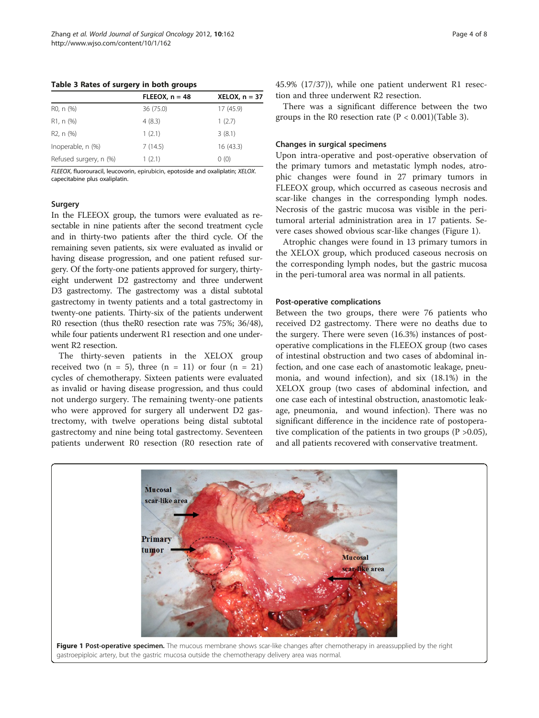Table 3 Rates of surgery in both groups

|                        | $FLEEOX, n = 48$ | $XELOX, n = 37$ |
|------------------------|------------------|-----------------|
| R <sub>0</sub> , n (%) | 36 (75.0)        | 17 (45.9)       |
| R <sub>1</sub> , n (%) | 4(8.3)           | 1(2.7)          |
| R <sub>2</sub> , n (%) | 1(2.1)           | 3(8.1)          |
| Inoperable, n (%)      | 7(14.5)          | 16(43.3)        |
| Refused surgery, n (%) | 1(2.1)           | 0(0)            |

FLEEOX, fluorouracil, leucovorin, [epirubicin](http://ukpmc.ac.uk/abstract/MED/20021910/?whatizit_url_Chemicals=http://www.ebi.ac.uk/chebi/searchId.do?chebiId=CHEBI%3A47898), epotoside and oxaliplatin; XELOX. capecitabine plus oxaliplatin.

#### Surgery

In the FLEEOX group, the tumors were evaluated as resectable in nine patients after the second treatment cycle and in thirty-two patients after the third cycle. Of the remaining seven patients, six were evaluated as invalid or having disease progression, and one patient refused surgery. Of the forty-one patients approved for surgery, thirtyeight underwent D2 gastrectomy and three underwent D3 gastrectomy. The gastrectomy was a distal subtotal gastrectomy in twenty patients and a total gastrectomy in twenty-one patients. Thirty-six of the patients underwent R0 resection (thus theR0 resection rate was 75%; 36/48), while four patients underwent R1 resection and one underwent R2 resection.

The thirty-seven patients in the XELOX group received two  $(n = 5)$ , three  $(n = 11)$  or four  $(n = 21)$ cycles of chemotherapy. Sixteen patients were evaluated as invalid or having disease progression, and thus could not undergo surgery. The remaining twenty-one patients who were approved for surgery all underwent D2 gastrectomy, with twelve operations being distal subtotal gastrectomy and nine being total gastrectomy. Seventeen patients underwent R0 resection (R0 resection rate of 45.9% (17/37)), while one patient underwent R1 resection and three underwent R2 resection.

There was a significant difference between the two groups in the R0 resection rate  $(P < 0.001)(Table 3)$ .

#### Changes in surgical specimens

Upon intra-operative and post-operative observation of the primary tumors and metastatic lymph nodes, atrophic changes were found in 27 primary tumors in FLEEOX group, which occurred as caseous necrosis and scar-like changes in the corresponding lymph nodes. Necrosis of the gastric mucosa was visible in the peritumoral arterial administration area in 17 patients. Severe cases showed obvious scar-like changes (Figure 1).

Atrophic changes were found in 13 primary tumors in the XELOX group, which produced caseous necrosis on the corresponding lymph nodes, but the gastric mucosa in the peri-tumoral area was normal in all patients.

#### Post-operative complications

Between the two groups, there were 76 patients who received D2 gastrectomy. There were no deaths due to the surgery. There were seven (16.3%) instances of postoperative complications in the FLEEOX group (two cases of intestinal obstruction and two cases of abdominal infection, and one case each of anastomotic leakage, pneumonia, and wound infection), and six (18.1%) in the XELOX group (two cases of abdominal infection, and one case each of intestinal obstruction, anastomotic leakage, pneumonia, and wound infection). There was no significant difference in the incidence rate of postoperative complication of the patients in two groups ( $P > 0.05$ ), and all patients recovered with conservative treatment.

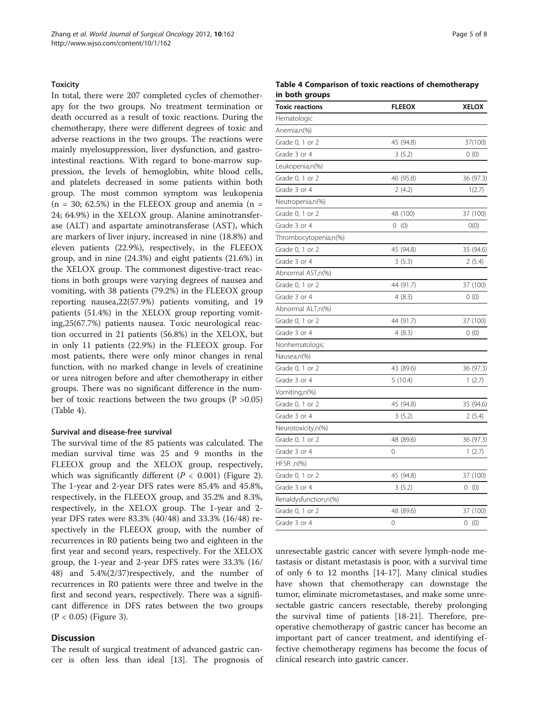#### **Toxicity**

In total, there were 207 completed cycles of chemotherapy for the two groups. No treatment termination or death occurred as a result of toxic reactions. During the chemotherapy, there were different degrees of toxic and adverse reactions in the two groups. The reactions were mainly myelosuppression, liver dysfunction, and gastrointestinal reactions. With regard to bone-marrow suppression, the levels of hemoglobin, white blood cells, and platelets decreased in some patients within both group. The most common symptom was leukopenia  $(n = 30; 62.5%)$  in the FLEEOX group and anemia  $(n = 100)$ 24; 64.9%) in the XELOX group. Alanine aminotransferase (ALT) and aspartate aminotransferase (AST), which are markers of liver injury, increased in nine (18.8%) and eleven patients (22.9%), respectively, in the FLEEOX group, and in nine (24.3%) and eight patients (21.6%) in the XELOX group. The commonest digestive-tract reactions in both groups were varying degrees of nausea and vomiting, with 38 patients (79.2%) in the FLEEOX group reporting nausea,22(57.9%) patients vomiting, and 19 patients (51.4%) in the XELOX group reporting vomiting,25(67.7%) patients nausea. Toxic neurological reaction occurred in 21 patients (56.8%) in the XELOX, but in only 11 patients (22.9%) in the FLEEOX group. For most patients, there were only minor changes in renal function, with no marked change in levels of creatinine or urea nitrogen before and after chemotherapy in either groups. There was no significant difference in the number of toxic reactions between the two groups  $(P > 0.05)$ (Table 4).

## Survival and disease-free survival

The survival time of the 85 patients was calculated. The median survival time was 25 and 9 months in the FLEEOX group and the XELOX group, respectively, which was significantly different  $(P < 0.001)$  (Figure [2](#page-5-0)). The 1-year and 2-year DFS rates were 85.4% and 45.8%, respectively, in the FLEEOX group, and 35.2% and 8.3%, respectively, in the XELOX group. The 1-year and 2 year DFS rates were 83.3% (40/48) and 33.3% (16/48) respectively in the FLEEOX group, with the number of recurrences in R0 patients being two and eighteen in the first year and second years, respectively. For the XELOX group, the 1-year and 2-year DFS rates were 33.3% (16/ 48) and 5.4%(2/37)respectively, and the number of recurrences in R0 patients were three and twelve in the first and second years, respectively. There was a significant difference in DFS rates between the two groups (P < 0.05) (Figure [3](#page-5-0)).

#### **Discussion**

The result of surgical treatment of advanced gastric cancer is often less than ideal [[13\]](#page-7-0). The prognosis of

| Table 4 Comparison of toxic reactions of chemotherapy |  |  |  |
|-------------------------------------------------------|--|--|--|
| in both groups                                        |  |  |  |

| <b>Toxic reactions</b> | <b>FLEEOX</b> | <b>XELOX</b> |
|------------------------|---------------|--------------|
| Hematologic            |               |              |
| Anemia,n(%)            |               |              |
| Grade 0, 1 or 2        | 45 (94.8)     | 37(100)      |
| Grade 3 or 4           | 3(5.2)        | 0(0)         |
| Leukopenia,n(%)        |               |              |
| Grade 0, 1 or 2        | 46 (95.8)     | 36 (97.3)    |
| Grade 3 or 4           | 2(4.2)        | 1(2.7)       |
| Neutropenia,n(%)       |               |              |
| Grade 0, 1 or 2        | 48 (100)      | 37 (100)     |
| Grade 3 or 4           | 0(0)          | O(0)         |
| Thrombocytopenia,n(%)  |               |              |
| Grade 0, 1 or 2        | 45 (94.8)     | 35 (94.6)    |
| Grade 3 or 4           | 3(5.3)        | 2(5.4)       |
| Abnormal AST,n(%)      |               |              |
| Grade 0, 1 or 2        | 44 (91.7)     | 37 (100)     |
| Grade 3 or 4           | 4(8.3)        | 0(0)         |
| Abnormal ALT,n(%)      |               |              |
| Grade 0, 1 or 2        | 44 (91.7)     | 37 (100)     |
| Grade 3 or 4           | 4(8.3)        | 0(0)         |
| Nonhematologic         |               |              |
| Nausea,n(%)            |               |              |
| Grade 0, 1 or 2        | 43 (89.6)     | 36 (97.3)    |
| Grade 3 or 4           | 5(10.4)       | 1(2.7)       |
| Vomiting,n(%)          |               |              |
| Grade 0, 1 or 2        | 45 (94.8)     | 35 (94.6)    |
| Grade 3 or 4           | 3(5.2)        | 2(5.4)       |
| Neurotoxicity,n(%)     |               |              |
| Grade 0, 1 or 2        | 48 (89.6)     | 36 (97.3)    |
| Grade 3 or 4           | 0             | 1(2.7)       |
| $HFSR, n$ (%)          |               |              |
| Grade 0, 1 or 2        | 45 (94.8)     | 37 (100)     |
| Grade 3 or 4           | 3(5.2)        | 0<br>(0)     |
| Renaldysfunction,n(%)  |               |              |
| Grade 0, 1 or 2        | 48 (89.6)     | 37 (100)     |
| Grade 3 or 4           | 0             | 0(0)         |

unresectable gastric cancer with severe lymph-node metastasis or distant metastasis is poor, with a survival time of only 6 to 12 months [[14](#page-7-0)-[17\]](#page-7-0). Many clinical studies have shown that chemotherapy can downstage the tumor, eliminate micrometastases, and make some unresectable gastric cancers resectable, thereby prolonging the survival time of patients [\[18](#page-7-0)-[21\]](#page-7-0). Therefore, preoperative chemotherapy of gastric cancer has become an important part of cancer treatment, and identifying effective chemotherapy regimens has become the focus of clinical research into gastric cancer.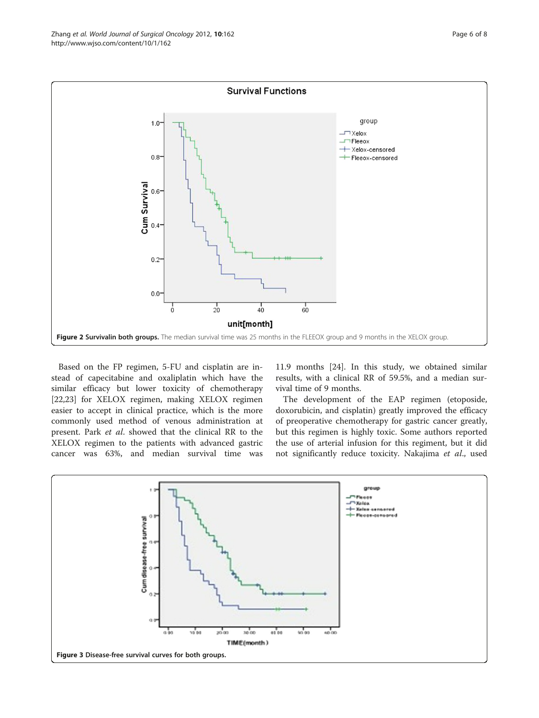<span id="page-5-0"></span>

Based on the FP regimen, 5-FU and cisplatin are instead of capecitabine and oxaliplatin which have the similar efficacy but lower toxicity of chemotherapy [[22,23\]](#page-7-0) for XELOX regimen, making XELOX regimen easier to accept in clinical practice, which is the more commonly used method of venous administration at present. Park et al. showed that the clinical RR to the XELOX regimen to the patients with advanced gastric cancer was 63%, and median survival time was

11.9 months [\[24\]](#page-7-0). In this study, we obtained similar results, with a clinical RR of 59.5%, and a median survival time of 9 months.

The development of the EAP regimen (etoposide, doxorubicin, and cisplatin) greatly improved the efficacy of preoperative chemotherapy for gastric cancer greatly, but this regimen is highly toxic. Some authors reported the use of arterial infusion for this regiment, but it did not significantly reduce toxicity. Nakajima et al., used

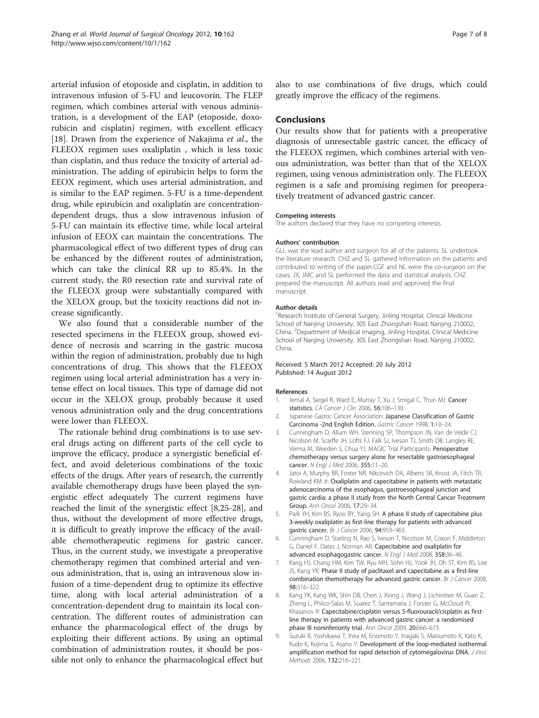<span id="page-6-0"></span>arterial infusion of etoposide and cisplatin, in addition to intravenous infusion of 5-FU and leucovorin. The FLEP regimen, which combines arterial with venous administration, is a development of the EAP (etoposide, doxorubicin and cisplatin) regimen, with excellent efficacy [[18\]](#page-7-0). Drawn from the experience of Nakajima et al., the FLEEOX regimen uses oxaliplatin , which is less toxic than cisplatin, and thus reduce the toxicity of arterial administration. The adding of epirubicin helps to form the EEOX regiment, which uses arterial administration, and is similar to the EAP regimen. 5-FU is a time-dependent drug, while epirubicin and oxaliplatin are concentrationdependent drugs, thus a slow intravenous infusion of 5-FU can maintain its effective time, while local arteiral infusion of EEOX can maintain the concentrations. The pharmacological effect of two different types of drug can be enhanced by the different routes of administration, which can take the clinical RR up to 85.4%. In the current study, the R0 resection rate and survival rate of the FLEEOX group were substantially compared with the XELOX group, but the toxicity reactions did not increase significantly.

We also found that a considerable number of the resected specimens in the FLEEOX group, showed evidence of necrosis and scarring in the gastric mucosa within the region of administration, probably due to high concentrations of drug. This shows that the FLEEOX regimen using local arterial administration has a very intense effect on local tissues. This type of damage did not occur in the XELOX group, probably because it used venous administration only and the drug concentrations were lower than FLEEOX.

The rationale behind drug combinations is to use several drugs acting on different parts of the cell cycle to improve the efficacy, produce a synergistic beneficial effect, and avoid deleterious combinations of the toxic effects of the drugs. After years of research, the currently available chemotherapy drugs have been played the synergistic effect adequately The current regimens have reached the limit of the synergistic effect [8[,25-28](#page-7-0)], and thus, without the development of more effective drugs, it is difficult to greatly improve the efficacy of the available chemotherapeutic regimens for gastric cancer. Thus, in the current study, we investigate a preoperative chemotherapy regimen that combined arterial and venous administration, that is, using an intravenous slow infusion of a time-dependent drug to optimize its effective time, along with local arterial administration of a concentration-dependent drug to maintain its local concentration. The different routes of administration can enhance the pharmacological effect of the drugs by exploiting their different actions. By using an optimal combination of administration routes, it should be possible not only to enhance the pharmacological effect but also to use combinations of five drugs, which could greatly improve the efficacy of the regimens.

# Conclusions

Our results show that for patients with a preoperative diagnosis of unresectable gastric cancer, the efficacy of the FLEEOX regimen, which combines arterial with venous administration, was better than that of the XELOX regimen, using venous administration only. The FLEEOX regimen is a safe and promising regimen for preoperatively treatment of advanced gastric cancer.

#### Competing interests

The authors declared that they have no competing interests.

#### Authors' contribution

GLL was the lead author and surgeon for all of the patients. SL undertook the literature research. CHZ and SL gathered information on the patients and contributed to writing of the paper.CGF and NL were the co-surgeon on the cases. JX, JMC and SL performed the data and statistical analysis. CHZ prepared the manuscript. All authors read and approved the final manuscript.

#### Author details

<sup>1</sup> Research Institute of General Surgery, Jinling Hospital, Clinical Medicine School of Nanjing University, 305 East Zhongshan Road, Nanjing 210002, China. <sup>2</sup> Department of Medical Imaging, Jinling Hospital, Clinical Medicine School of Nanjing University, 305 East Zhongshan Road, Nanjing 210002, China.

#### Received: 5 March 2012 Accepted: 20 July 2012 Published: 14 August 2012

#### References

- 1. Jemal A, Siegel R, Ward E, Murray T, Xu J, Smigal C, Thun MJ: Cancer statistics. CA Cancer J Clin 2006, 56:106–130.
- 2. Japanese Gastric Cancer Association: Japanese Classification of Gastric Carcinoma -2nd English Edition. Gastric Cancer 1998, 1:10–24.
- 3. Cunningham D, Allum WH, Stenning SP, Thompson JN, Van de Velde CJ, Nicolson M, Scarffe JH, Lofts FJ, Falk SJ, Iveson TJ, Smith DB, Langley RE, Verma M, Weeden S, Chua YJ, MAGIC Trial Participants: Perioperative chemotherapy versus surgery alone for resectable gastroesophageal cancer. N Engl J Med 2006, 355:11-20.
- 4. Jatoi A, Murphy BR, Foster NR, Nikcevich DA, Alberts SR, Knost JA, Fitch TR, Rowland KM Jr: Oxaliplatin and capecitabine in patients with metastatic adenocarcinoma of the esophagus, gastroesophageal junction and gastric cardia: a phase II study from the North Central Cancer Treatment Group. Ann Oncol 2006, 17:29–34.
- 5. Park YH, Kim BS, Ryoo BY, Yang SH: A phase II study of capecitabine plus 3-weekly oxaliplatin as first-line therapy for patients with advanced gastric cancer. Br J Cancer 2006, 94:959–963.
- 6. Cunningham D, Starling N, Rao S, Iveson T, Nicolson M, Coxon F, Middleton G, Daniel F, Oates J, Norman AR: Capecitabine and oxaliplatin for advanced esophagogastric cancer. N Engl J Med 2008, 358:36-46.
- 7. Kang HJ, Chang HM, Kim TW, Ryu MH, Sohn HJ, Yook JH, Oh ST, Kim BS, Lee JS, Kang YK: Phase II study of paclitaxel and capecitabine as a first-line combination themotherapy for advanced gastric cancer. Br J Cancer 2008, 98:316–322.
- Kang YK, Kang WK, Shin DB, Chen J, Xiong J, Wang J, Lichinitser M, Guan Z, Zheng L, Philco-Salas M, Suarez T, Santamaria J, Forster G, McCloud PI, Khasanov R: Capecitabine/cisplatin versus 5-fluorouracil/cisplatin as firstline therapy in patients with advanced gastric cancer: a randomised phase III noninferiority trial. Ann Oncol 2009, 20:666–673.
- 9. Suzuki R, Yoshikawa T, Ihira M, Enomoto Y, Inagaki S, Matsumoto K, Kato K, Kudo K, Kojima S, Asano Y: Development of the loop-mediated isothermal amplification method for rapid detection of cytomegalovirus DNA. J Virol Methods 2006, 132:216–221.